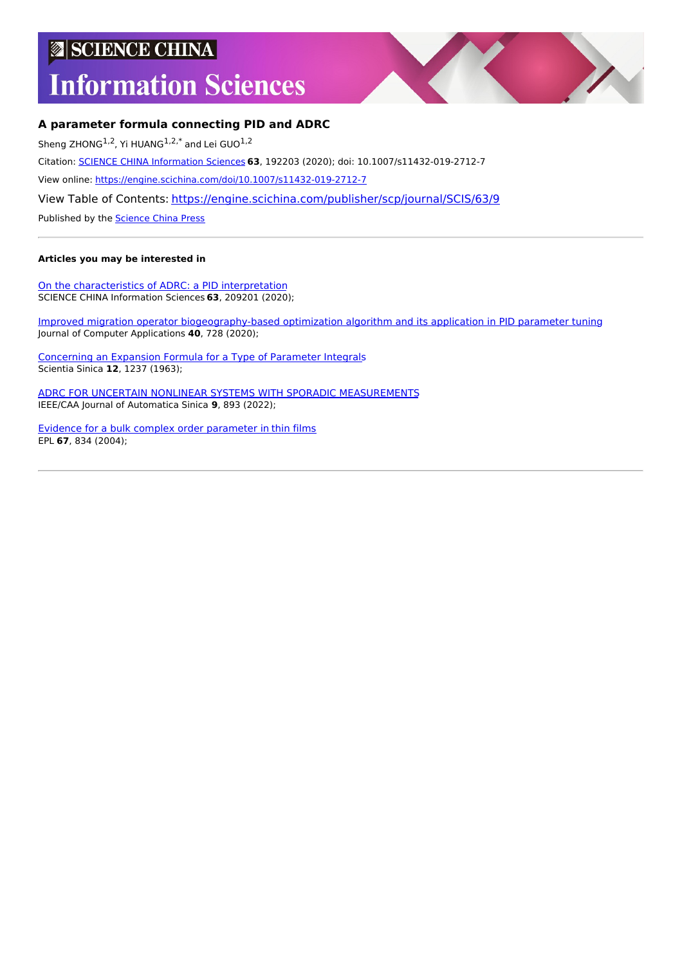# **SCIENCE CHINA**

# **Information Sciences**



# **A parameter formula connecting PID and ADRC**

Sheng ZHONG<sup>1,2</sup>, Yi HUANG<sup>1,2,\*</sup> and Lei GUO<sup>1,2</sup> Citation: SCIENCE CHINA [Information](https://engine.scichina.com/publisher/scp/journal/SCIS) Sciences **63**, 192203 (2020); doi: 10.1007/s11432-019-2712-7 View online: <https://engine.scichina.com/doi/10.1007/s11432-019-2712-7> View Table of Contents: <https://engine.scichina.com/publisher/scp/journal/SCIS/63/9> Published by the [Science](https://engine.scichina.com/publisher/scp) China Press

### **Articles you may be interested in**

On the [characteristics](https://engine.scichina.com/doi/10.1007/s11432-018-9647-6) of ADRC: a PID interpretation SCIENCE CHINA Information Sciences **63**, 209201 (2020);

Improved migration operator [biogeography-based](https://engine.scichina.com/doi/10.11772/j.issn.1001-9081.2019081337) optimization algorithm and its application in PID parameter tuning Journal of Computer Applications **40**, 728 (2020);

[Concerning](https://engine.scichina.com/doi/10.1360/ya1963-12-8-1237) an Expansion Formula for a Type of Parameter Integrals Scientia Sinica **12**, 1237 (1963);

ADRC FOR UNCERTAIN NONLINEAR SYSTEMS WITH SPORADIC [MEASUREMENTS](https://engine.scichina.com/doi/10.1109/JAS.2022.105566) IEEE/CAA Journal of Automatica Sinica **9**, 893 (2022);

Evidence for a bulk complex order [parameter](https://engine.scichina.com/doi/10.1209/epl/i2004-10108-7) in thin films EPL **67**, 834 (2004);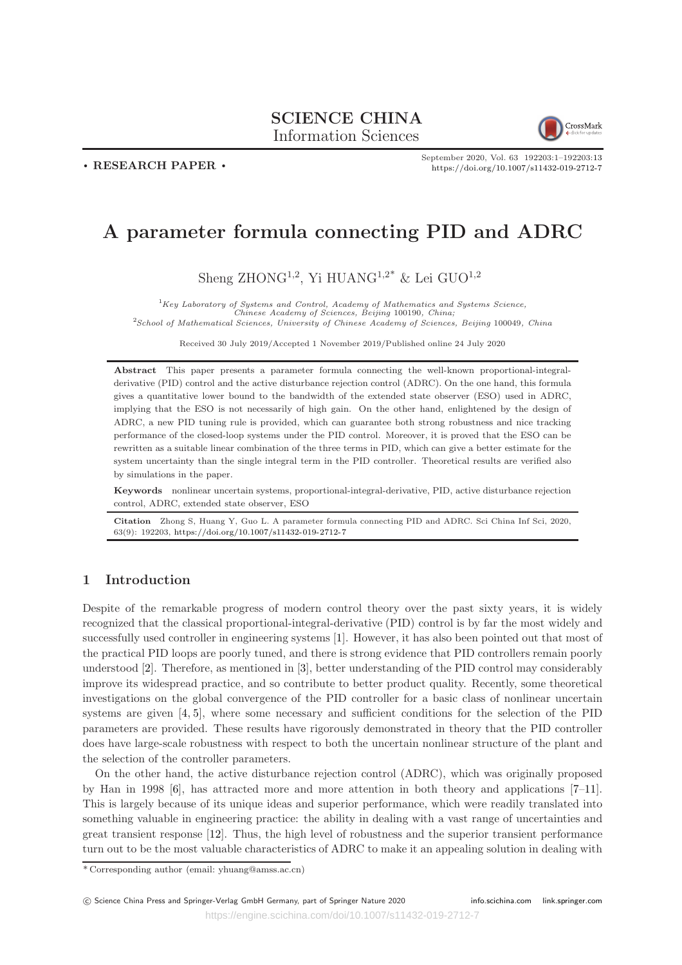# SCIENCE CHINA Information Sciences



. RESEARCH PAPER .

September 2020, Vol. 63 192203:1–192203:13 <https://doi.org/10.1007/s11432-019-2712-7>

# A parameter formula connecting PID and ADRC

Sheng ZHONG<sup>1,2</sup>, Yi HUANG<sup>1,2\*</sup> & Lei GUO<sup>1,2</sup>

 $1$ <sup>Key</sup> Laboratory of Systems and Control, Academy of Mathematics and Systems Science, Chinese Academy of Sciences, Beijing 100190, China; <sup>2</sup>School of Mathematical Sciences, University of Chinese Academy of Sciences, Beijing 100049, China

Received 30 July 2019/Accepted 1 November 2019/Published online 24 July 2020

Abstract This paper presents a parameter formula connecting the well-known proportional-integralderivative (PID) control and the active disturbance rejection control (ADRC). On the one hand, this formula gives a quantitative lower bound to the bandwidth of the extended state observer (ESO) used in ADRC, implying that the ESO is not necessarily of high gain. On the other hand, enlightened by the design of ADRC, a new PID tuning rule is provided, which can guarantee both strong robustness and nice tracking performance of the closed-loop systems under the PID control. Moreover, it is proved that the ESO can be rewritten as a suitable linear combination of the three terms in PID, which can give a better estimate for the system uncertainty than the single integral term in the PID controller. Theoretical results are verified also by simulations in the paper.

Keywords nonlinear uncertain systems, proportional-integral-derivative, PID, active disturbance rejection control, ADRC, extended state observer, ESO

Citation Zhong S, Huang Y, Guo L. A parameter formula connecting PID and ADRC. Sci China Inf Sci, 2020, 63(9): 192203, <https://doi.org/10.1007/s11432-019-2712-7>

## 1 Introduction

Despite of the remarkable progress of modern control theory over the past sixty years, it is widely recognized that the classical proportional-integral-derivative (PID) control is by far the most widely and successfully used controller in engineering systems [1]. However, it has also been pointed out that most of the practical PID loops are poorly tuned, and there is strong evidence that PID controllers remain poorly understood [2]. Therefore, as mentioned in [3], better understanding of the PID control may considerably improve its widespread practice, and so contribute to better product quality. Recently, some theoretical investigations on the global convergence of the PID controller for a basic class of nonlinear uncertain systems are given [4, 5], where some necessary and sufficient conditions for the selection of the PID parameters are provided. These results have rigorously demonstrated in theory that the PID controller does have large-scale robustness with respect to both the uncertain nonlinear structure of the plant and the selection of the controller parameters.

On the other hand, the active disturbance rejection control (ADRC), which was originally proposed by Han in 1998 [6], has attracted more and more attention in both theory and applications [7–11]. This is largely because of its unique ideas and superior performance, which were readily translated into something valuable in engineering practice: the ability in dealing with a vast range of uncertainties and great transient response [12]. Thus, the high level of robustness and the superior transient performance turn out to be the most valuable characteristics of ADRC to make it an appealing solution in dealing with

<sup>\*</sup> Corresponding author (email: yhuang@amss.ac.cn)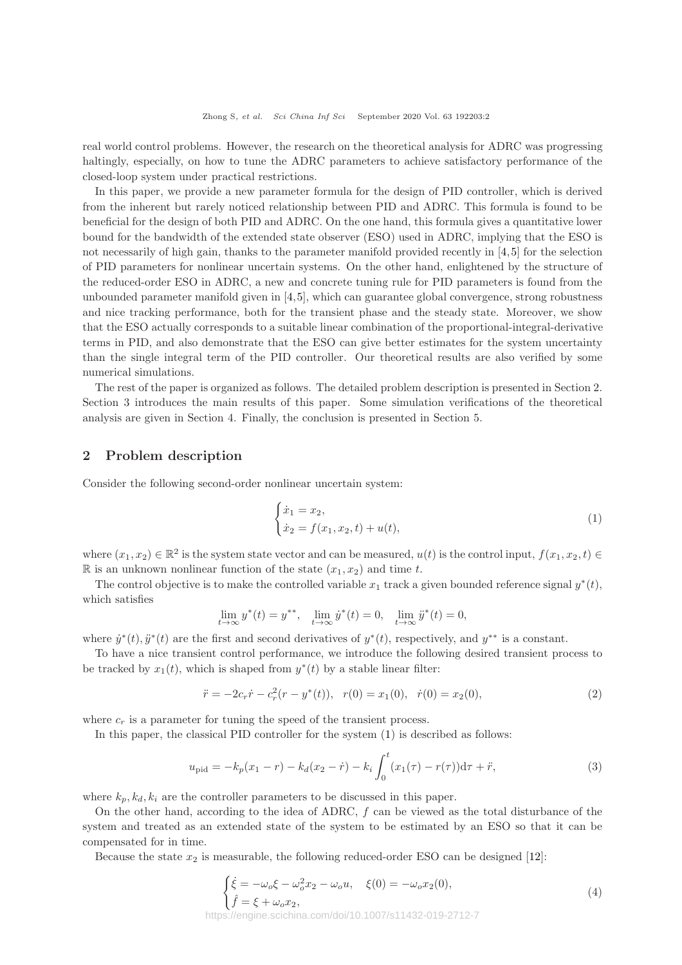real world control problems. However, the research on the theoretical analysis for ADRC was progressing haltingly, especially, on how to tune the ADRC parameters to achieve satisfactory performance of the closed-loop system under practical restrictions.

In this paper, we provide a new parameter formula for the design of PID controller, which is derived from the inherent but rarely noticed relationship between PID and ADRC. This formula is found to be beneficial for the design of both PID and ADRC. On the one hand, this formula gives a quantitative lower bound for the bandwidth of the extended state observer (ESO) used in ADRC, implying that the ESO is not necessarily of high gain, thanks to the parameter manifold provided recently in [4,5] for the selection of PID parameters for nonlinear uncertain systems. On the other hand, enlightened by the structure of the reduced-order ESO in ADRC, a new and concrete tuning rule for PID parameters is found from the unbounded parameter manifold given in [4,5], which can guarantee global convergence, strong robustness and nice tracking performance, both for the transient phase and the steady state. Moreover, we show that the ESO actually corresponds to a suitable linear combination of the proportional-integral-derivative terms in PID, and also demonstrate that the ESO can give better estimates for the system uncertainty than the single integral term of the PID controller. Our theoretical results are also verified by some numerical simulations.

The rest of the paper is organized as follows. The detailed problem description is presented in Section 2. Section 3 introduces the main results of this paper. Some simulation verifications of the theoretical analysis are given in Section 4. Finally, the conclusion is presented in Section 5.

#### 2 Problem description

Consider the following second-order nonlinear uncertain system:

$$
\begin{cases} \n\dot{x}_1 = x_2, \\ \n\dot{x}_2 = f(x_1, x_2, t) + u(t), \n\end{cases} \tag{1}
$$

where  $(x_1, x_2) \in \mathbb{R}^2$  is the system state vector and can be measured,  $u(t)$  is the control input,  $f(x_1, x_2, t) \in$  $\mathbb R$  is an unknown nonlinear function of the state  $(x_1, x_2)$  and time t.

The control objective is to make the controlled variable  $x_1$  track a given bounded reference signal  $y^*(t)$ , which satisfies

$$
\lim_{t \to \infty} y^*(t) = y^{**}, \quad \lim_{t \to \infty} \dot{y}^*(t) = 0, \quad \lim_{t \to \infty} \ddot{y}^*(t) = 0,
$$

where  $\dot{y}^*(t), \ddot{y}^*(t)$  are the first and second derivatives of  $y^*(t)$ , respectively, and  $y^{**}$  is a constant.

To have a nice transient control performance, we introduce the following desired transient process to be tracked by  $x_1(t)$ , which is shaped from  $y^*(t)$  by a stable linear filter:

$$
\ddot{r} = -2c_r \dot{r} - c_r^2 (r - y^*(t)), \quad r(0) = x_1(0), \quad \dot{r}(0) = x_2(0), \tag{2}
$$

where  $c_r$  is a parameter for tuning the speed of the transient process.

In this paper, the classical PID controller for the system (1) is described as follows:

$$
u_{\rm pid} = -k_p(x_1 - r) - k_d(x_2 - \dot{r}) - k_i \int_0^t (x_1(\tau) - r(\tau)) \mathrm{d}\tau + \ddot{r},\tag{3}
$$

where  $k_p, k_d, k_i$  are the controller parameters to be discussed in this paper.

On the other hand, according to the idea of ADRC, f can be viewed as the total disturbance of the system and treated as an extended state of the system to be estimated by an ESO so that it can be compensated for in time.

Because the state  $x_2$  is measurable, the following reduced-order ESO can be designed [12]:

$$
\begin{cases}\n\dot{\xi} = -\omega_o \xi - \omega_o^2 x_2 - \omega_o u, & \xi(0) = -\omega_o x_2(0), \\
\hat{f} = \xi + \omega_o x_2, \\
\text{is (Jorsine, cosi) is a complex (4.14432, 0.19, 3742, 7)}\n\end{cases}
$$
\n(4)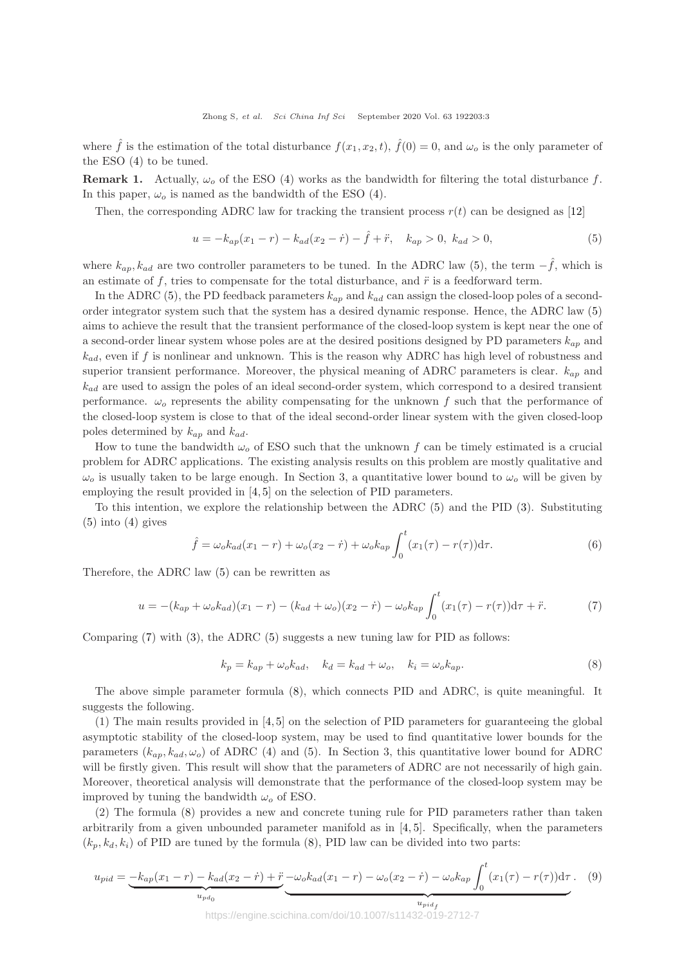where  $\hat{f}$  is the estimation of the total disturbance  $f(x_1, x_2, t)$ ,  $\hat{f}(0) = 0$ , and  $\omega_o$  is the only parameter of the ESO (4) to be tuned.

**Remark 1.** Actually,  $\omega_o$  of the ESO (4) works as the bandwidth for filtering the total disturbance f. In this paper,  $\omega_o$  is named as the bandwidth of the ESO (4).

Then, the corresponding ADRC law for tracking the transient process  $r(t)$  can be designed as [12]

$$
u = -k_{ap}(x_1 - r) - k_{ad}(x_2 - r) - \hat{f} + \ddot{r}, \quad k_{ap} > 0, \ k_{ad} > 0,
$$
\n
$$
(5)
$$

where  $k_{ap}$ ,  $k_{ad}$  are two controller parameters to be tuned. In the ADRC law (5), the term  $-\hat{f}$ , which is an estimate of  $f$ , tries to compensate for the total disturbance, and  $\ddot{r}$  is a feedforward term.

In the ADRC (5), the PD feedback parameters  $k_{ap}$  and  $k_{ad}$  can assign the closed-loop poles of a secondorder integrator system such that the system has a desired dynamic response. Hence, the ADRC law (5) aims to achieve the result that the transient performance of the closed-loop system is kept near the one of a second-order linear system whose poles are at the desired positions designed by PD parameters  $k_{ap}$  and  $k_{ad}$ , even if f is nonlinear and unknown. This is the reason why ADRC has high level of robustness and superior transient performance. Moreover, the physical meaning of ADRC parameters is clear.  $k_{ap}$  and  $k_{ad}$  are used to assign the poles of an ideal second-order system, which correspond to a desired transient performance.  $\omega_o$  represents the ability compensating for the unknown f such that the performance of the closed-loop system is close to that of the ideal second-order linear system with the given closed-loop poles determined by  $k_{ap}$  and  $k_{ad}$ .

How to tune the bandwidth  $\omega_0$  of ESO such that the unknown f can be timely estimated is a crucial problem for ADRC applications. The existing analysis results on this problem are mostly qualitative and  $\omega_o$  is usually taken to be large enough. In Section 3, a quantitative lower bound to  $\omega_o$  will be given by employing the result provided in [4, 5] on the selection of PID parameters.

To this intention, we explore the relationship between the ADRC (5) and the PID (3). Substituting  $(5)$  into  $(4)$  gives

$$
\hat{f} = \omega_0 k_{ad}(x_1 - r) + \omega_0 (x_2 - r) + \omega_0 k_{ap} \int_0^t (x_1(\tau) - r(\tau)) d\tau.
$$
\n(6)

Therefore, the ADRC law (5) can be rewritten as

$$
u = -(k_{ap} + \omega_o k_{ad})(x_1 - r) - (k_{ad} + \omega_o)(x_2 - \dot{r}) - \omega_o k_{ap} \int_0^t (x_1(\tau) - r(\tau)) \, \mathrm{d}\tau + \ddot{r}.\tag{7}
$$

Comparing  $(7)$  with  $(3)$ , the ADRC  $(5)$  suggests a new tuning law for PID as follows:

$$
k_p = k_{ap} + \omega_o k_{ad}, \quad k_d = k_{ad} + \omega_o, \quad k_i = \omega_o k_{ap}.
$$
 (8)

The above simple parameter formula (8), which connects PID and ADRC, is quite meaningful. It suggests the following.

(1) The main results provided in [4, 5] on the selection of PID parameters for guaranteeing the global asymptotic stability of the closed-loop system, may be used to find quantitative lower bounds for the parameters  $(k_{ap}, k_{ad}, \omega_o)$  of ADRC (4) and (5). In Section 3, this quantitative lower bound for ADRC will be firstly given. This result will show that the parameters of ADRC are not necessarily of high gain. Moreover, theoretical analysis will demonstrate that the performance of the closed-loop system may be improved by tuning the bandwidth  $\omega_o$  of ESO.

(2) The formula (8) provides a new and concrete tuning rule for PID parameters rather than taken arbitrarily from a given unbounded parameter manifold as in [4, 5]. Specifically, when the parameters  $(k_p, k_d, k_i)$  of PID are tuned by the formula (8), PID law can be divided into two parts:

$$
u_{pid} = \underbrace{-k_{ap}(x_1 - r) - k_{ad}(x_2 - r) + \ddot{r}}_{u_{pd_0}} - \underbrace{-\omega_o k_{ad}(x_1 - r) - \omega_o(x_2 - \dot{r}) - \omega_o k_{ap}}_{u_{pd_0}} \int_0^t (x_1(\tau) - r(\tau)) d\tau. \tag{9}
$$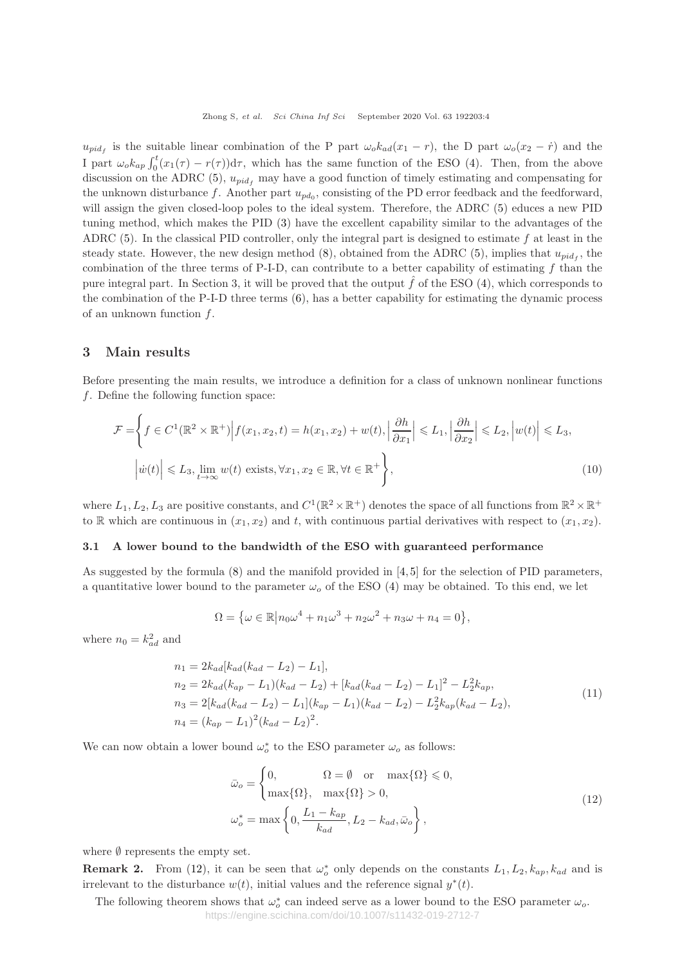$u_{pid_f}$  is the suitable linear combination of the P part  $\omega_ok_{ad}(x_1 - r)$ , the D part  $\omega_0(x_2 - r)$  and the I part  $\omega_0 k_{ap} \int_0^t (x_1(\tau) - r(\tau)) d\tau$ , which has the same function of the ESO (4). Then, from the above discussion on the ADRC (5),  $u_{pid}$  may have a good function of timely estimating and compensating for the unknown disturbance f. Another part  $u_{pd_0}$ , consisting of the PD error feedback and the feedforward, will assign the given closed-loop poles to the ideal system. Therefore, the ADRC (5) educes a new PID tuning method, which makes the PID (3) have the excellent capability similar to the advantages of the ADRC  $(5)$ . In the classical PID controller, only the integral part is designed to estimate f at least in the steady state. However, the new design method  $(8)$ , obtained from the ADRC  $(5)$ , implies that  $u_{pid_f}$ , the combination of the three terms of P-I-D, can contribute to a better capability of estimating  $f$  than the pure integral part. In Section 3, it will be proved that the output  $\hat{f}$  of the ESO (4), which corresponds to the combination of the P-I-D three terms (6), has a better capability for estimating the dynamic process of an unknown function  $f$ .

#### 3 Main results

Before presenting the main results, we introduce a definition for a class of unknown nonlinear functions f. Define the following function space:

$$
\mathcal{F} = \left\{ f \in C^1(\mathbb{R}^2 \times \mathbb{R}^+) \Big| f(x_1, x_2, t) = h(x_1, x_2) + w(t), \left| \frac{\partial h}{\partial x_1} \right| \le L_1, \left| \frac{\partial h}{\partial x_2} \right| \le L_2, \left| w(t) \right| \le L_3, \left| \frac{\partial h}{\partial x_1} \right| \le L_4, \left| \frac{\partial h}{\partial x_2} \right| \le L_5, \left| w(t) \right| \le L_6, \left| \frac{\partial h}{\partial x_1} \right| \le L_7, \left| w(t) \right| \le L_8, \left| \frac{\partial h}{\partial x_2} \right| \le L_9, \left| w(t) \right| \le L_9, \left| \frac{\partial h}{\partial x_1} \right| \le L_9, \left| \frac{\partial h}{\partial x_2} \right| \le L_9, \left| \frac{\partial h}{\partial x_2} \right| \le L_9, \left| \frac{\partial h}{\partial x_3} \right| \le L_9, \left| \frac{\partial h}{\partial x_4} \right| \le L_9, \left| \frac{\partial h}{\partial x_5} \right| \le L_9, \left| \frac{\partial h}{\partial x_6} \right| \le L_9, \left| \frac{\partial h}{\partial x_7} \right| \le L_9, \left| \frac{\partial h}{\partial x_8} \right| \le L_9, \left| \frac{\partial h}{\partial x_9} \right| \le L_9, \left| \frac{\partial h}{\partial x_9} \right| \le L_9, \left| \frac{\partial h}{\partial x_9} \right| \le L_9, \left| \frac{\partial h}{\partial x_9} \right| \le L_9, \left| \frac{\partial h}{\partial x_9} \right| \le L_9, \left| \frac{\partial h}{\partial x_9} \right| \le L_9, \left| \frac{\partial h}{\partial x_9} \right| \le L_9, \left| \frac{\partial h}{\partial x_9} \right| \le L_9, \left| \frac{\partial h}{\partial x_9} \right| \le L_9, \left| \frac{\partial h}{\partial x_9} \right| \le L_9, \left| \frac{\partial h}{\partial x_9} \right| \le L_9, \left| \frac{\partial h}{\partial x
$$

where  $L_1, L_2, L_3$  are positive constants, and  $C^1(\mathbb{R}^2 \times \mathbb{R}^+)$  denotes the space of all functions from  $\mathbb{R}^2 \times \mathbb{R}^+$ to R which are continuous in  $(x_1, x_2)$  and t, with continuous partial derivatives with respect to  $(x_1, x_2)$ .

#### 3.1 A lower bound to the bandwidth of the ESO with guaranteed performance

As suggested by the formula (8) and the manifold provided in [4, 5] for the selection of PID parameters, a quantitative lower bound to the parameter  $\omega_o$  of the ESO (4) may be obtained. To this end, we let

$$
\Omega = \{ \omega \in \mathbb{R} \Big| n_0 \omega^4 + n_1 \omega^3 + n_2 \omega^2 + n_3 \omega + n_4 = 0 \},\
$$

where  $n_0 = k_{ad}^2$  and

$$
n_1 = 2k_{ad}[k_{ad}(k_{ad} - L_2) - L_1],
$$
  
\n
$$
n_2 = 2k_{ad}(k_{ap} - L_1)(k_{ad} - L_2) + [k_{ad}(k_{ad} - L_2) - L_1]^2 - L_2^2 k_{ap},
$$
  
\n
$$
n_3 = 2[k_{ad}(k_{ad} - L_2) - L_1](k_{ap} - L_1)(k_{ad} - L_2) - L_2^2 k_{ap}(k_{ad} - L_2),
$$
  
\n
$$
n_4 = (k_{ap} - L_1)^2(k_{ad} - L_2)^2.
$$
\n(11)

We can now obtain a lower bound  $\omega_o^*$  to the ESO parameter  $\omega_o$  as follows:

$$
\bar{\omega}_o = \begin{cases}\n0, & \Omega = \emptyset \quad \text{or} \quad \max\{\Omega\} \le 0, \\
\max\{\Omega\}, & \max\{\Omega\} > 0,\n\end{cases}
$$
\n
$$
\omega_o^* = \max\left\{0, \frac{L_1 - k_{ap}}{k_{ad}}, L_2 - k_{ad}, \bar{\omega}_o\right\},
$$
\n(12)

where  $\emptyset$  represents the empty set.

**Remark 2.** From (12), it can be seen that  $\omega_o^*$  only depends on the constants  $L_1, L_2, k_{ap}, k_{ad}$  and is irrelevant to the disturbance  $w(t)$ , initial values and the reference signal  $y^*(t)$ .

The following theorem shows that  $\omega_o^*$  can indeed serve as a lower bound to the ESO parameter  $\omega_o$ . https://engine.scichina.com/doi/10.1007/s11432-019-2712-7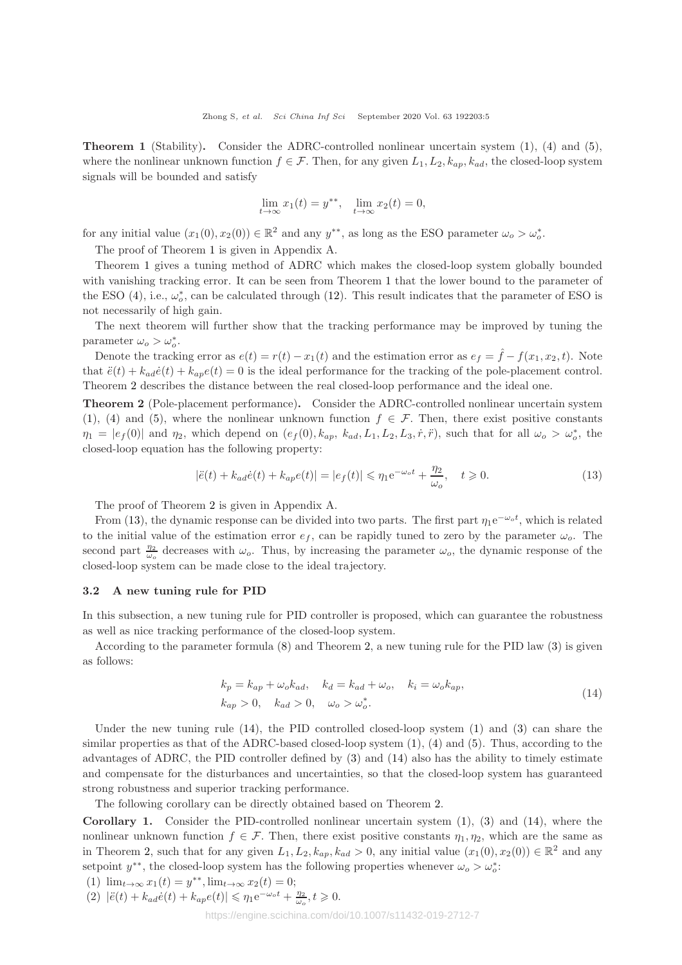Theorem 1 (Stability). Consider the ADRC-controlled nonlinear uncertain system (1), (4) and (5), where the nonlinear unknown function  $f \in \mathcal{F}$ . Then, for any given  $L_1, L_2, k_{ap}, k_{ad}$ , the closed-loop system signals will be bounded and satisfy

$$
\lim_{t \to \infty} x_1(t) = y^{**}, \quad \lim_{t \to \infty} x_2(t) = 0,
$$

for any initial value  $(x_1(0), x_2(0)) \in \mathbb{R}^2$  and any  $y^{**}$ , as long as the ESO parameter  $\omega_o > \omega_o^*$ .

The proof of Theorem 1 is given in Appendix A.

Theorem 1 gives a tuning method of ADRC which makes the closed-loop system globally bounded with vanishing tracking error. It can be seen from Theorem 1 that the lower bound to the parameter of the ESO (4), i.e.,  $\omega_o^*$ , can be calculated through (12). This result indicates that the parameter of ESO is not necessarily of high gain.

The next theorem will further show that the tracking performance may be improved by tuning the parameter  $\omega_o > \omega_o^*$ .

Denote the tracking error as  $e(t) = r(t) - x_1(t)$  and the estimation error as  $e_f = \hat{f} - f(x_1, x_2, t)$ . Note that  $\ddot{e}(t) + k_{ad}\dot{e}(t) + k_{ap}e(t) = 0$  is the ideal performance for the tracking of the pole-placement control. Theorem 2 describes the distance between the real closed-loop performance and the ideal one.

Theorem 2 (Pole-placement performance). Consider the ADRC-controlled nonlinear uncertain system (1), (4) and (5), where the nonlinear unknown function  $f \in \mathcal{F}$ . Then, there exist positive constants  $\eta_1 = |e_f(0)|$  and  $\eta_2$ , which depend on  $(e_f(0), k_{ap}, k_{ad}, L_1, L_2, L_3, \dot{r}, \ddot{r})$ , such that for all  $\omega_o > \omega_o^*$ , the closed-loop equation has the following property:

$$
|\ddot{e}(t) + k_{ad}\dot{e}(t) + k_{ap}e(t)| = |e_f(t)| \le \eta_1 e^{-\omega_o t} + \frac{\eta_2}{\omega_o}, \quad t \ge 0.
$$
 (13)

The proof of Theorem 2 is given in Appendix A.

From (13), the dynamic response can be divided into two parts. The first part  $\eta_1 e^{-\omega_o t}$ , which is related to the initial value of the estimation error  $e_f$ , can be rapidly tuned to zero by the parameter  $\omega_o$ . The second part  $\frac{\eta_2}{\omega_o}$  decreases with  $\omega_o$ . Thus, by increasing the parameter  $\omega_o$ , the dynamic response of the closed-loop system can be made close to the ideal trajectory.

#### 3.2 A new tuning rule for PID

In this subsection, a new tuning rule for PID controller is proposed, which can guarantee the robustness as well as nice tracking performance of the closed-loop system.

According to the parameter formula (8) and Theorem 2, a new tuning rule for the PID law (3) is given as follows:

$$
k_p = k_{ap} + \omega_o k_{ad}, \quad k_d = k_{ad} + \omega_o, \quad k_i = \omega_o k_{ap},
$$
  
\n
$$
k_{ap} > 0, \quad k_{ad} > 0, \quad \omega_o > \omega_o^*.
$$
\n(14)

Under the new tuning rule  $(14)$ , the PID controlled closed-loop system  $(1)$  and  $(3)$  can share the similar properties as that of the ADRC-based closed-loop system  $(1)$ ,  $(4)$  and  $(5)$ . Thus, according to the advantages of ADRC, the PID controller defined by (3) and (14) also has the ability to timely estimate and compensate for the disturbances and uncertainties, so that the closed-loop system has guaranteed strong robustness and superior tracking performance.

The following corollary can be directly obtained based on Theorem 2.

Corollary 1. Consider the PID-controlled nonlinear uncertain system (1), (3) and (14), where the nonlinear unknown function  $f \in \mathcal{F}$ . Then, there exist positive constants  $\eta_1, \eta_2$ , which are the same as in Theorem 2, such that for any given  $L_1, L_2, k_{ap}, k_{ad} > 0$ , any initial value  $(x_1(0), x_2(0)) \in \mathbb{R}^2$  and any setpoint  $y^{**}$ , the closed-loop system has the following properties whenever  $\omega_o > \omega_o^*$ :

(1)  $\lim_{t \to \infty} x_1(t) = y^{**}, \lim_{t \to \infty} x_2(t) = 0;$ 

(2) 
$$
|\ddot{e}(t) + k_{ad}\dot{e}(t) + k_{ap}e(t)| \le \eta_1 e^{-\omega_o t} + \frac{\eta_2}{\omega_o}, t \ge 0.
$$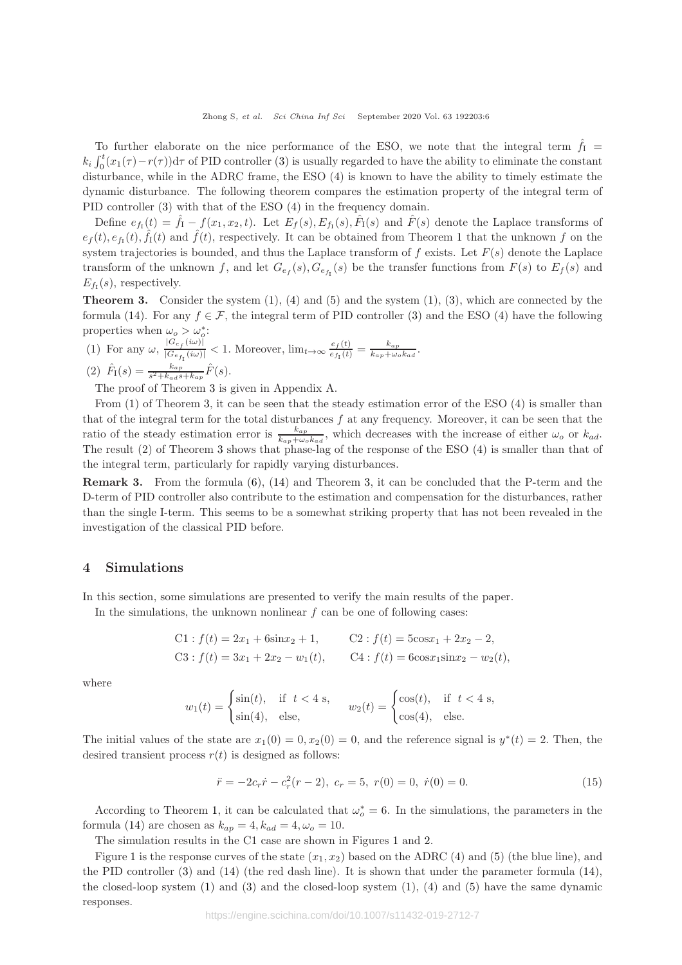To further elaborate on the nice performance of the ESO, we note that the integral term  $\hat{f}_I$  =  $k_i \int_0^t (x_1(\tau)-r(\tau))d\tau$  of PID controller (3) is usually regarded to have the ability to eliminate the constant disturbance, while in the ADRC frame, the ESO (4) is known to have the ability to timely estimate the dynamic disturbance. The following theorem compares the estimation property of the integral term of PID controller (3) with that of the ESO (4) in the frequency domain.

Define  $e_{f_1}(t) = \hat{f}_1 - f(x_1, x_2, t)$ . Let  $E_f(s), E_{f_1}(s), \hat{F}_1(s)$  and  $\hat{F}(s)$  denote the Laplace transforms of  $e_f(t), e_{f_1}(t), \hat{f}_I(t)$  and  $\hat{f}(t)$ , respectively. It can be obtained from Theorem 1 that the unknown f on the system trajectories is bounded, and thus the Laplace transform of f exists. Let  $F(s)$  denote the Laplace transform of the unknown f, and let  $G_{e_f}(s)$ ,  $G_{e_{f_1}}(s)$  be the transfer functions from  $F(s)$  to  $E_f(s)$  and  $E_{f_I}(s)$ , respectively.

**Theorem 3.** Consider the system  $(1)$ ,  $(4)$  and  $(5)$  and the system  $(1)$ ,  $(3)$ , which are connected by the formula (14). For any  $f \in \mathcal{F}$ , the integral term of PID controller (3) and the ESO (4) have the following properties when  $\omega_o > \omega_o^*$ :

(1) For any  $\omega$ ,  $\frac{|G_{e_f}(i\omega)|}{|G_{e_f}(i\omega)|}$  $\frac{|G_{e_f}(w)|}{|G_{e_{f_1}}(i\omega)|} < 1$ . Moreover,  $\lim_{t\to\infty} \frac{e_f(t)}{e_{f_1}(t)}$  $\frac{e_f(t)}{e_{f_I}(t)} = \frac{k_{ap}}{k_{ap} + \omega_c}$  $\frac{\kappa_{ap}}{k_{ap} + \omega_{o} k_{ad}}.$ 

(2) 
$$
\hat{F}_1(s) = \frac{k_{ap}}{s^2 + k_{ad}s + k_{ap}} \hat{F}(s).
$$

The proof of Theorem 3 is given in Appendix A.

From (1) of Theorem 3, it can be seen that the steady estimation error of the ESO (4) is smaller than that of the integral term for the total disturbances  $f$  at any frequency. Moreover, it can be seen that the ratio of the steady estimation error is  $\frac{k_{ap}}{k_{ap} + \omega_o k_{ad}}$ , which decreases with the increase of either  $\omega_o$  or  $k_{ad}$ . The result (2) of Theorem 3 shows that phase-lag of the response of the ESO (4) is smaller than that of the integral term, particularly for rapidly varying disturbances.

Remark 3. From the formula (6), (14) and Theorem 3, it can be concluded that the P-term and the D-term of PID controller also contribute to the estimation and compensation for the disturbances, rather than the single I-term. This seems to be a somewhat striking property that has not been revealed in the investigation of the classical PID before.

#### 4 Simulations

In this section, some simulations are presented to verify the main results of the paper.

In the simulations, the unknown nonlinear  $f$  can be one of following cases:

C1: 
$$
f(t) = 2x_1 + 6\sin x_2 + 1
$$
, C2:  $f(t) = 5\cos x_1 + 2x_2 - 2$ ,  
C3:  $f(t) = 3x_1 + 2x_2 - w_1(t)$ , C4:  $f(t) = 6\cos x_1 \sin x_2 - w_2(t)$ ,

where

$$
w_1(t) = \begin{cases} \sin(t), & \text{if } t < 4 \text{ s}, \\ \sin(4), & \text{else,} \end{cases} \qquad w_2(t) = \begin{cases} \cos(t), & \text{if } t < 4 \text{ s}, \\ \cos(4), & \text{else.} \end{cases}
$$

The initial values of the state are  $x_1(0) = 0, x_2(0) = 0$ , and the reference signal is  $y^*(t) = 2$ . Then, the desired transient process  $r(t)$  is designed as follows:

$$
\ddot{r} = -2c_r \dot{r} - c_r^2 (r-2), \ c_r = 5, \ r(0) = 0, \ \dot{r}(0) = 0.
$$
 (15)

According to Theorem 1, it can be calculated that  $\omega_o^* = 6$ . In the simulations, the parameters in the formula (14) are chosen as  $k_{ap} = 4, k_{ad} = 4, \omega_o = 10$ .

The simulation results in the C1 case are shown in Figures 1 and 2.

Figure 1 is the response curves of the state  $(x_1, x_2)$  based on the ADRC (4) and (5) (the blue line), and the PID controller (3) and (14) (the red dash line). It is shown that under the parameter formula (14), the closed-loop system  $(1)$  and  $(3)$  and the closed-loop system  $(1)$ ,  $(4)$  and  $(5)$  have the same dynamic responses.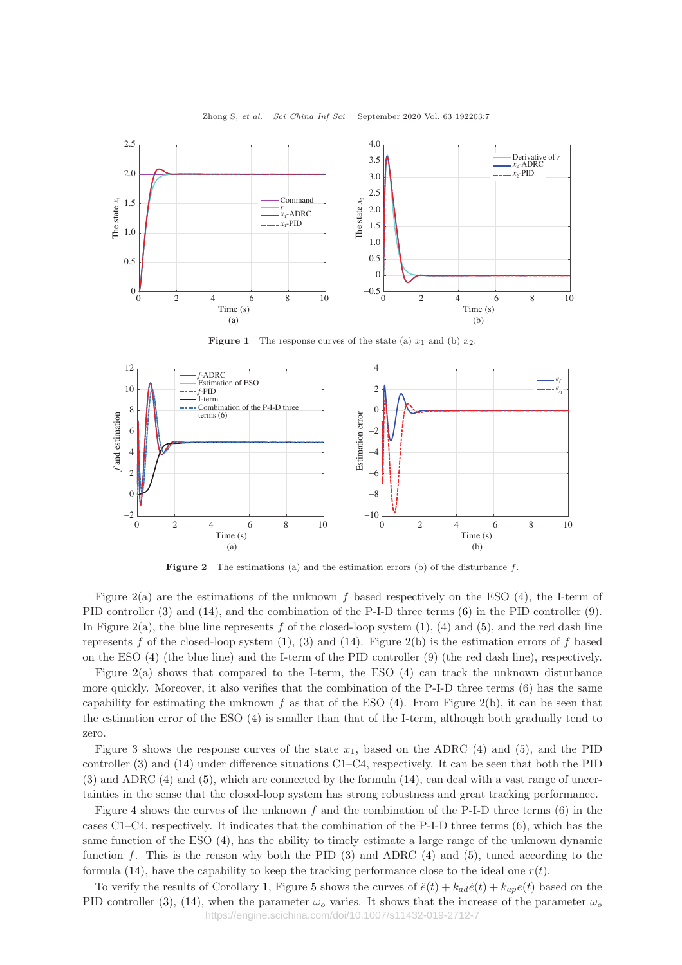

**Figure 1** The response curves of the state (a)  $x_1$  and (b)  $x_2$ .



**Figure 2** The estimations (a) and the estimation errors (b) of the disturbance  $f$ .

Figure 2(a) are the estimations of the unknown f based respectively on the ESO (4), the I-term of PID controller (3) and (14), and the combination of the P-I-D three terms (6) in the PID controller (9). In Figure 2(a), the blue line represents f of the closed-loop system  $(1)$ ,  $(4)$  and  $(5)$ , and the red dash line represents f of the closed-loop system  $(1)$ ,  $(3)$  and  $(14)$ . Figure 2(b) is the estimation errors of f based on the ESO (4) (the blue line) and the I-term of the PID controller (9) (the red dash line), respectively.

Figure 2(a) shows that compared to the I-term, the ESO (4) can track the unknown disturbance more quickly. Moreover, it also verifies that the combination of the P-I-D three terms (6) has the same capability for estimating the unknown f as that of the ESO  $(4)$ . From Figure 2(b), it can be seen that the estimation error of the ESO (4) is smaller than that of the I-term, although both gradually tend to zero.

Figure 3 shows the response curves of the state  $x_1$ , based on the ADRC (4) and (5), and the PID controller (3) and (14) under difference situations C1–C4, respectively. It can be seen that both the PID (3) and ADRC (4) and (5), which are connected by the formula (14), can deal with a vast range of uncertainties in the sense that the closed-loop system has strong robustness and great tracking performance.

Figure 4 shows the curves of the unknown f and the combination of the P-I-D three terms  $(6)$  in the cases C1–C4, respectively. It indicates that the combination of the P-I-D three terms (6), which has the same function of the ESO (4), has the ability to timely estimate a large range of the unknown dynamic function f. This is the reason why both the PID  $(3)$  and ADRC  $(4)$  and  $(5)$ , tuned according to the formula (14), have the capability to keep the tracking performance close to the ideal one  $r(t)$ .

To verify the results of Corollary 1, Figure 5 shows the curves of  $\ddot{e}(t) + k_{ad}\dot{e}(t) + k_{an}e(t)$  based on the PID controller (3), (14), when the parameter  $\omega_o$  varies. It shows that the increase of the parameter  $\omega_o$ https://engine.scichina.com/doi/10.1007/s11432-019-2712-7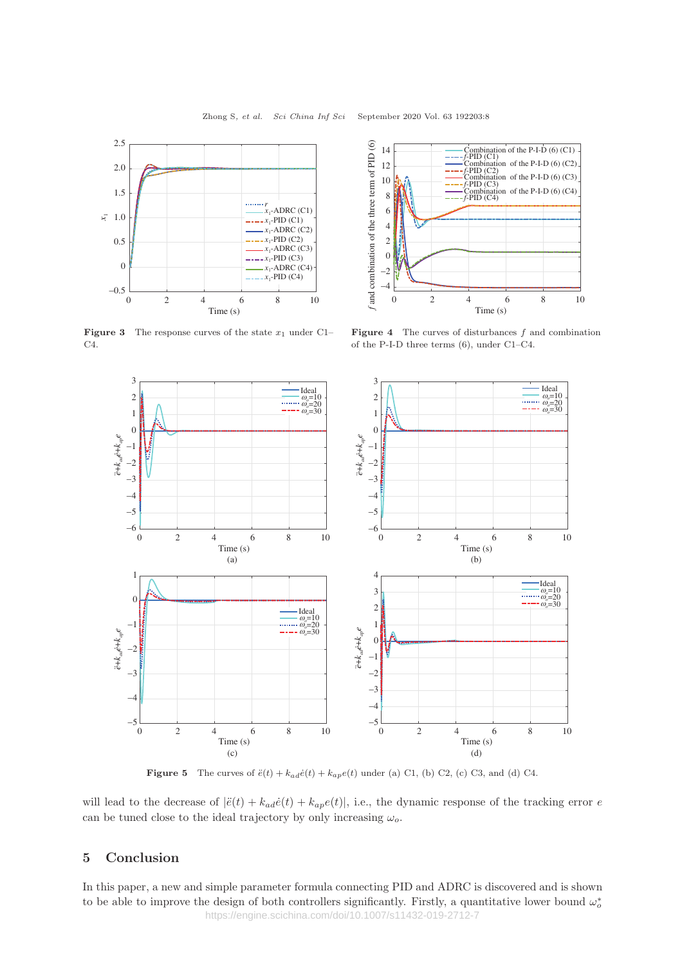

**Figure 3** The response curves of the state  $x_1$  under C1– C4.



**Figure 4** The curves of disturbances  $f$  and combination of the P-I-D three terms (6), under C1–C4.



Figure 5 The curves of  $\ddot{e}(t) + k_{ad}\dot{e}(t) + k_{ape}(t)$  under (a) C1, (b) C2, (c) C3, and (d) C4.

will lead to the decrease of  $|\ddot{e}(t) + k_{ad}\dot{e}(t) + k_{ap}e(t)|$ , i.e., the dynamic response of the tracking error e can be tuned close to the ideal trajectory by only increasing  $\omega_o$ .

## 5 Conclusion

In this paper, a new and simple parameter formula connecting PID and ADRC is discovered and is shown to be able to improve the design of both controllers significantly. Firstly, a quantitative lower bound  $\omega_o^*$ https://engine.scichina.com/doi/10.1007/s11432-019-2712-7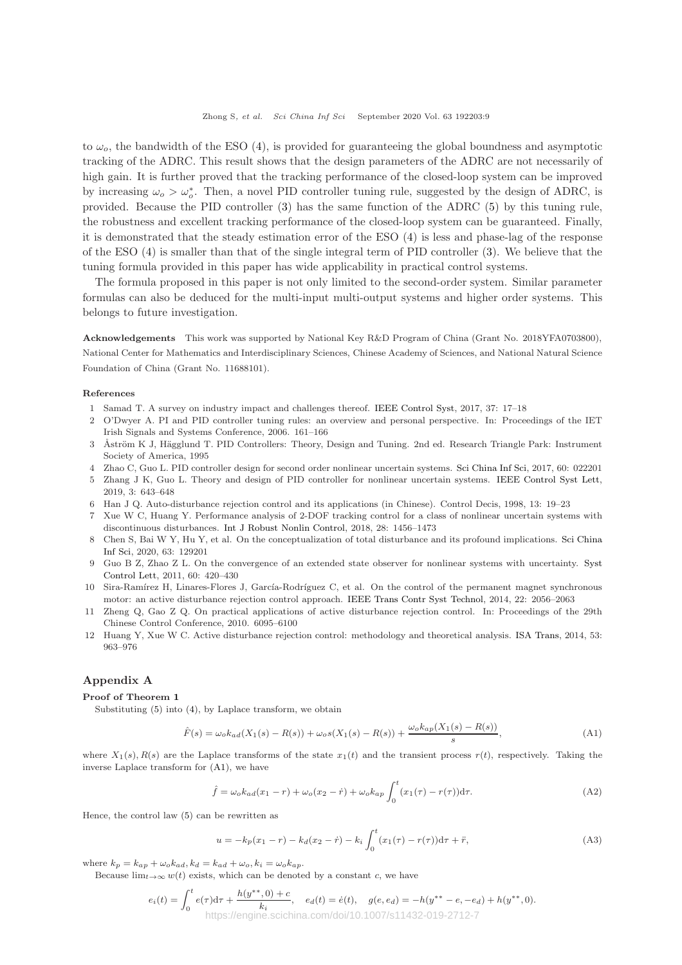to  $\omega_o$ , the bandwidth of the ESO (4), is provided for guaranteeing the global boundness and asymptotic tracking of the ADRC. This result shows that the design parameters of the ADRC are not necessarily of high gain. It is further proved that the tracking performance of the closed-loop system can be improved by increasing  $\omega_o > \omega_o^*$ . Then, a novel PID controller tuning rule, suggested by the design of ADRC, is provided. Because the PID controller (3) has the same function of the ADRC (5) by this tuning rule, the robustness and excellent tracking performance of the closed-loop system can be guaranteed. Finally, it is demonstrated that the steady estimation error of the ESO (4) is less and phase-lag of the response of the ESO (4) is smaller than that of the single integral term of PID controller (3). We believe that the tuning formula provided in this paper has wide applicability in practical control systems.

The formula proposed in this paper is not only limited to the second-order system. Similar parameter formulas can also be deduced for the multi-input multi-output systems and higher order systems. This belongs to future investigation.

Acknowledgements This work was supported by National Key R&D Program of China (Grant No. 2018YFA0703800), National Center for Mathematics and Interdisciplinary Sciences, Chinese Academy of Sciences, and National Natural Science Foundation of China (Grant No. 11688101).

#### References

- 1 Samad T. A survey on industry impact and challenges thereof. [IEEE Control Syst,](https://doi.org/10.1109/MCS.2016.2621438) 2017, 37: 17–18
- 2 O'Dwyer A. PI and PID controller tuning rules: an overview and personal perspective. In: Proceedings of the IET Irish Signals and Systems Conference, 2006. 161–166
- 3 Åström K J, Hägglund T. PID Controllers: Theory, Design and Tuning. 2nd ed. Research Triangle Park: Instrument Society of America, 1995
- 4 Zhao C, Guo L. PID controller design for second order nonlinear uncertain systems. [Sci China Inf Sci,](https://doi.org/10.1007/s11432-016-0879-3) 2017, 60: 022201
- 5 Zhang J K, Guo L. Theory and design of PID controller for nonlinear uncertain systems. [IEEE Control Syst Lett,](https://doi.org/10.1109/LCSYS.2019.2915306) 2019, 3: 643–648
- 6 Han J Q. Auto-disturbance rejection control and its applications (in Chinese). Control Decis, 1998, 13: 19–23
- 7 Xue W C, Huang Y. Performance analysis of 2-DOF tracking control for a class of nonlinear uncertain systems with discontinuous disturbances. [Int J Robust Nonlin Control,](https://doi.org/10.1002/rnc.3972) 2018, 28: 1456–1473
- 8 Chen [S, Bai W Y, Hu Y, et al. On the conceptualization of total](https://doi.org/10.1007/s11432-018-9644-3) disturbance and its profound implications. Sci China Inf Sci, 2020, 63: 129201
- 9 Guo B Z, Zhao Z L. On the convergence of an extended state observer for nonlinear systems with uncertainty. Syst Control Lett, 2011, 60: 420–430
- 10 Sira-Ramírez H, Linares-Flores J, García-Rodríguez C, et al. On the control of the permanent magnet synchronous motor: an active disturbance rejection control approach. [IEEE Trans Contr Syst Technol,](https://doi.org/10.1109/TCST.2014.2298238) 2014, 22: 2056–2063
- 11 Zheng Q, Gao Z Q. On practical applications of active disturbance rejection control. In: Proceedings of the 29th Chinese Control Conference, 2010. 6095–6100
- 12 Huang Y, Xue W C. Active disturbance rejection control: methodology and theoretical analysis. [ISA Trans,](https://doi.org/10.1016/j.isatra.2014.03.003) 2014, 53: 963–976

#### Appendix A

#### Proof of Theorem 1

Substituting (5) into (4), by Laplace transform, we obtain

$$
\hat{F}(s) = \omega_o k_{ad}(X_1(s) - R(s)) + \omega_o s(X_1(s) - R(s)) + \frac{\omega_o k_{ap}(X_1(s) - R(s))}{s},\tag{A1}
$$

where  $X_1(s)$ ,  $R(s)$  are the Laplace transforms of the state  $x_1(t)$  and the transient process  $r(t)$ , respectively. Taking the inverse Laplace transform for (A1), we have

$$
\hat{f} = \omega_o k_{ad}(x_1 - r) + \omega_o(x_2 - r) + \omega_o k_{ap} \int_0^t (x_1(\tau) - r(\tau)) d\tau.
$$
\n(A2)

Hence, the control law (5) can be rewritten as

$$
u = -k_p(x_1 - r) - k_d(x_2 - \dot{r}) - k_i \int_0^t (x_1(\tau) - r(\tau)) \mathrm{d}\tau + \ddot{r},\tag{A3}
$$

where  $k_p = k_{ap} + \omega_o k_{ad}$ ,  $k_d = k_{ad} + \omega_o$ ,  $k_i = \omega_o k_{ap}$ .

Because  $\lim_{t\to\infty} w(t)$  exists, which can be denoted by a constant c, we have

$$
e_i(t) = \int_0^t e(\tau) d\tau + \frac{h(y^{**}, 0) + c}{k_i}, \quad e_d(t) = \dot{e}(t), \quad g(e, e_d) = -h(y^{**} - e, -e_d) + h(y^{**}, 0).
$$
  
https://engine.scichina.com/doi/10.1007/s11432-019-2712-7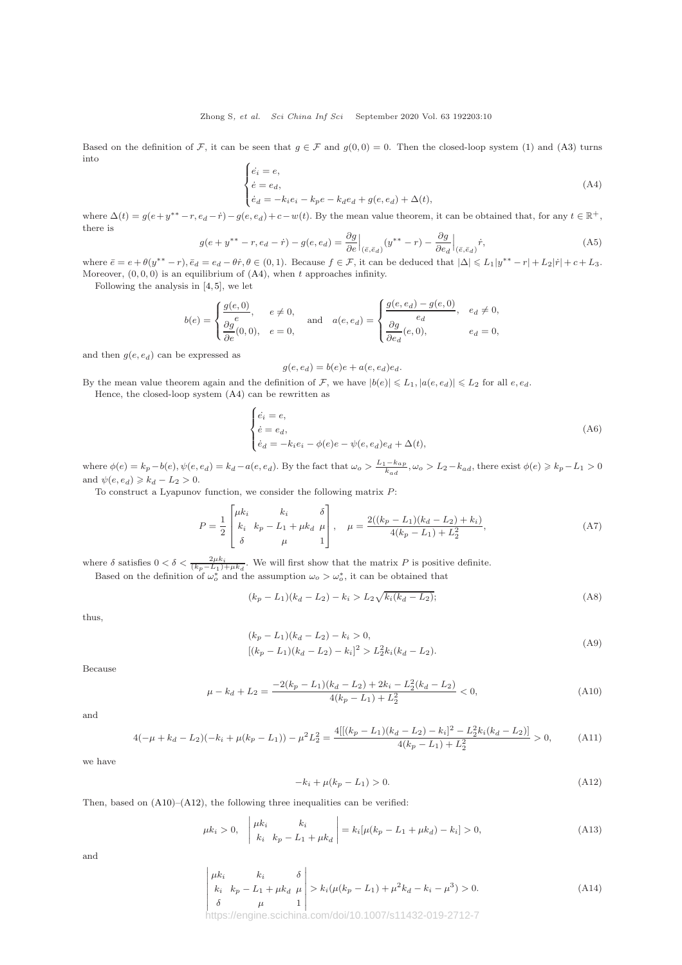Based on the definition of F, it can be seen that  $g \in \mathcal{F}$  and  $g(0, 0) = 0$ . Then the closed-loop system (1) and (A3) turns into

$$
\begin{cases}\n\dot{e}_i = e, \\
\dot{e} = e_d, \\
\dot{e}_d = -k_i e_i - k_p e - k_d e_d + g(e, e_d) + \Delta(t),\n\end{cases} \tag{A4}
$$

where  $\Delta(t) = g(e + y^{**} - r, e_d - \dot{r}) - g(e, e_d) + c - w(t)$ . By the mean value theorem, it can be obtained that, for any  $t \in \mathbb{R}^+$ , there is

$$
g(e+y^{**}-r, e_d-\dot{r})-g(e,e_d)=\frac{\partial g}{\partial e}\Big|_{(\bar{e},\bar{e}_d)}(y^{**}-r)-\frac{\partial g}{\partial e_d}\Big|_{(\bar{e},\bar{e}_d)}\dot{r},\tag{A5}
$$

where  $\bar{e} = e + \theta(y^{**} - r), \bar{e}_d = e_d - \theta \dot{r}, \theta \in (0, 1)$ . Because  $f \in \mathcal{F}$ , it can be deduced that  $|\Delta| \le L_1 |y^{**} - r| + L_2 |\dot{r}| + c + L_3$ . Moreover,  $(0, 0, 0)$  is an equilibrium of  $(A4)$ , when t approaches infinity.

Following the analysis in [4, 5], we let

$$
b(e) = \begin{cases} \frac{g(e,0)}{e}, & e \neq 0, \\ \frac{\partial g}{\partial e}(0,0), & e = 0, \end{cases} \quad \text{and} \quad a(e,e_d) = \begin{cases} \frac{g(e,e_d) - g(e,0)}{e_d}, & e_d \neq 0, \\ \frac{\partial g}{\partial e_d}(e,0), & e_d = 0, \end{cases}
$$

and then  $g(e, e_d)$  can be expressed as

$$
g(e, e_d) = b(e)e + a(e, e_d)e_d.
$$

By the mean value theorem again and the definition of F, we have  $|b(e)| \leq L_1$ ,  $|a(e, e_d)| \leq L_2$  for all  $e, e_d$ .

Hence, the closed-loop system (A4) can be rewritten as

$$
\begin{cases}\n\dot{e}_i = e, \\
\dot{e} = e_d, \\
\dot{e}_d = -k_i e_i - \phi(e)e - \psi(e, e_d)e_d + \Delta(t),\n\end{cases}
$$
\n(A6)

where  $\phi(e) = k_p - b(e)$ ,  $\psi(e, e_d) = k_d - a(e, e_d)$ . By the fact that  $\omega_o > \frac{L_1 - k_{ap}}{k_{ad}}, \omega_o > L_2 - k_{ad}$ , there exist  $\phi(e) \geq k_p - L_1 > 0$ and  $\psi(e, e_d) \geq k_d - L_2 > 0$ .

To construct a Lyapunov function, we consider the following matrix P:

$$
P = \frac{1}{2} \begin{bmatrix} \mu k_i & k_i & \delta \\ k_i & k_p - L_1 + \mu k_d & \mu \\ \delta & \mu & 1 \end{bmatrix}, \quad \mu = \frac{2((k_p - L_1)(k_d - L_2) + k_i)}{4(k_p - L_1) + L_2^2},
$$
(A7)

where  $\delta$  satisfies  $0 < \delta < \frac{2\mu k_i}{(k_p - L_1) + \mu k_d}$ . We will first show that the matrix P is positive definite. Based on the definition of  $\omega_o^*$  and the assumption  $\omega_o > \omega_o^*$ , it can be obtained that

$$
(k_p - L_1)(k_d - L_2) - k_i > L_2 \sqrt{k_i(k_d - L_2)};
$$
\n(A8)

thus,

$$
(k_p - L_1)(k_d - L_2) - k_i > 0,
$$
  
\n
$$
[(k_p - L_1)(k_d - L_2) - k_i]^2 > L_2^2 k_i (k_d - L_2).
$$
\n(A9)

Because

$$
\mu - k_d + L_2 = \frac{-2(k_p - L_1)(k_d - L_2) + 2k_i - L_2^2(k_d - L_2)}{4(k_p - L_1) + L_2^2} < 0,\tag{A10}
$$

and

$$
4(-\mu + k_d - L_2)(-k_i + \mu(k_p - L_1)) - \mu^2 L_2^2 = \frac{4[[(k_p - L_1)(k_d - L_2) - k_i]^2 - L_2^2 k_i (k_d - L_2)]}{4(k_p - L_1) + L_2^2} > 0,
$$
 (A11)

we have

$$
-k_i + \mu(k_p - L_1) > 0. \tag{A12}
$$

Then, based on (A10)–(A12), the following three inequalities can be verified:

$$
\mu k_i > 0, \quad \begin{vmatrix} \mu k_i & k_i \\ k_i & k_p - L_1 + \mu k_d \end{vmatrix} = k_i [\mu (k_p - L_1 + \mu k_d) - k_i] > 0,
$$
\n(A13)

and

$$
\begin{vmatrix} \mu k_i & k_i & \delta \\ k_i & k_p - L_1 + \mu k_d & \mu \\ \delta & \mu & 1 \end{vmatrix} > k_i(\mu(k_p - L_1) + \mu^2 k_d - k_i - \mu^3) > 0.
$$
 (A14)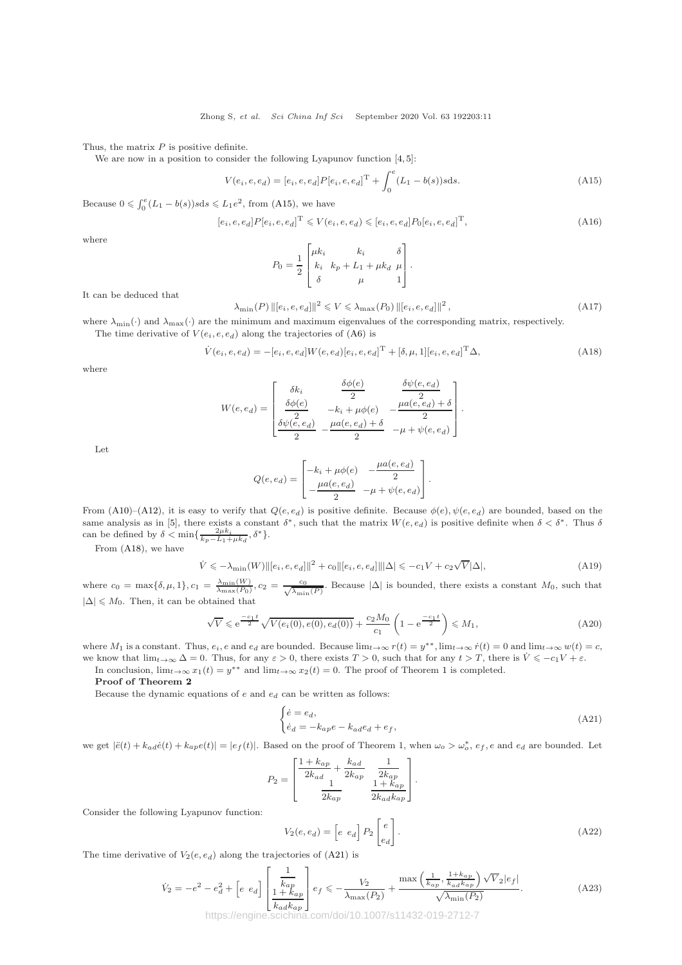Thus, the matrix  $P$  is positive definite.

We are now in a position to consider the following Lyapunov function  $[4, 5]$ :

$$
V(e_i, e, e_d) = [e_i, e, e_d]P[e_i, e, e_d]^{\text{T}} + \int_0^e (L_1 - b(s))s \, \text{d}s. \tag{A15}
$$

Because  $0 \n\leq \int_0^e (L_1 - b(s)) s ds \leq L_1 e^2$ , from (A15), we have

$$
[e_i, e, e_d] P [e_i, e, e_d]^{\mathrm{T}} \leq V(e_i, e, e_d) \leq [e_i, e, e_d] P_0 [e_i, e, e_d]^{\mathrm{T}}, \tag{A16}
$$

where

$$
P_0 = \frac{1}{2} \begin{bmatrix} \mu k_i & k_i & \delta \\ k_i & k_p + L_1 + \mu k_d & \mu \\ \delta & \mu & 1 \end{bmatrix}.
$$

It can be deduced that

$$
\lambda_{\min}(P) \left\| [e_i, e, e_d] \right\|^2 \leq V \leq \lambda_{\max}(P_0) \left\| [e_i, e, e_d] \right\|^2, \tag{A17}
$$

.

where  $\lambda_{\min}(\cdot)$  and  $\lambda_{\max}(\cdot)$  are the minimum and maximum eigenvalues of the corresponding matrix, respectively.

The time derivative of  $V(e_i, e, e_d)$  along the trajectories of (A6) is

$$
\dot{V}(e_i, e, e_d) = -[e_i, e, e_d]W(e, e_d)[e_i, e, e_d]^{\mathrm{T}} + [\delta, \mu, 1][e_i, e, e_d]^{\mathrm{T}}\Delta,
$$
\n(A18)

where

$$
W(e, e_d) = \begin{bmatrix} \delta k_i & \frac{\delta \phi(e)}{2} & \frac{\delta \psi(e, e_d)}{2} \\ \frac{\delta \phi(e)}{2} & -k_i + \mu \phi(e) & -\frac{\mu a(e, e_d) + \delta}{2} \\ \frac{\delta \psi(e, e_d)}{2} & -\frac{\mu a(e, e_d) + \delta}{2} & -\mu + \psi(e, e_d) \end{bmatrix}
$$

Let

$$
Q(e, e_d) = \begin{bmatrix} -k_i + \mu \phi(e) & -\frac{\mu a(e, e_d)}{2} \\ -\frac{\mu a(e, e_d)}{2} & -\mu + \psi(e, e_d) \end{bmatrix}.
$$

From (A10)–(A12), it is easy to verify that  $Q(e, e_d)$  is positive definite. Because  $\phi(e), \psi(e, e_d)$  are bounded, based on the same analysis as in [5], there exists a constant  $\delta^*$ , such that the matrix  $W(e, e_d)$  is positive definite when  $\delta < \delta^*$ . Thus  $\delta$ can be defined by  $\delta < \min\{\frac{2\mu k_i}{k_p - L_1 + \mu k_d}, \delta^*\}.$ 

From (A18), we have

$$
\dot{V} \le -\lambda_{\min}(W) \|[e_i, e, e_d]\|^2 + c_0 \|[e_i, e, e_d]\| |\Delta| \le -c_1 V + c_2 \sqrt{V} |\Delta|,
$$
\n(A19)

where  $c_0 = \max{\delta, \mu, 1}$ ,  $c_1 = \frac{\lambda_{\min}(W)}{\lambda_{\max}(P_0)}$ ,  $c_2 = \frac{c_0}{\sqrt{\lambda_{\min}(P)}}$ . Because  $|\Delta|$  is bounded, there exists a constant  $M_0$ , such that  $|\Delta| \leq M_0$ . Then, it can be obtained that

$$
\sqrt{V} \leq e^{\frac{-c_1 t}{2}} \sqrt{V(e_i(0), e(0), e_d(0))} + \frac{c_2 M_0}{c_1} \left(1 - e^{\frac{-c_1 t}{2}}\right) \leq M_1,
$$
\n(A20)

where  $M_1$  is a constant. Thus,  $e_i$ ,  $e$  and  $e_d$  are bounded. Because  $\lim_{t\to\infty} r(t) = y^{**}$ ,  $\lim_{t\to\infty} \dot{r}(t) = 0$  and  $\lim_{t\to\infty} w(t) = c$ , we know that  $\lim_{t\to\infty}\Delta=0$ . Thus, for any  $\varepsilon>0$ , there exists  $T>0$ , such that for any  $t>T$ , there is  $\dot{V}\leqslant -c_1V+\varepsilon$ .

In conclusion,  $\lim_{t\to\infty} x_1(t) = y^{**}$  and  $\lim_{t\to\infty} x_2(t) = 0$ . The proof of Theorem 1 is completed.

Proof of Theorem 2

Because the dynamic equations of  $e$  and  $e_d$  can be written as follows:

$$
\begin{cases} \dot{e} = e_d, \\ \dot{e}_d = -k_{ap}e - k_{ad}e_d + e_f, \end{cases} \tag{A21}
$$

we get  $|\ddot{e}(t) + k_{ad}\dot{e}(t) + k_{ap}e(t)| = |e_f(t)|$ . Based on the proof of Theorem 1, when  $\omega_o > \omega_o^*$ ,  $e_f$ ,  $e$  and  $e_d$  are bounded. Let

$$
P_2 = \begin{bmatrix} \frac{1 + k_{ap}}{2k_{ad}} + \frac{k_{ad}}{2k_{ap}} & \frac{1}{2k_{ap}} \\ \frac{1}{2k_{ap}} & \frac{1 + k_{ap}}{2k_{ad}k_{ap}} \end{bmatrix}.
$$

Consider the following Lyapunov function:

$$
V_2(e, e_d) = \begin{bmatrix} e & e_d \end{bmatrix} P_2 \begin{bmatrix} e \\ e_d \end{bmatrix}.
$$
 (A22)

The time derivative of  $V_2(e, e_d)$  along the trajectories of  $(A21)$  is

$$
\dot{V}_2 = -e^2 - e_d^2 + \left[e \ e_d\right] \left[\frac{\frac{1}{k_{ap}}}{\frac{1+k_{ap}}{k_{ad}k_{ap}}}\right] e_f \le -\frac{V_2}{\lambda_{\text{max}}(P_2)} + \frac{\max\left(\frac{1}{k_{ap}}, \frac{1+k_{ap}}{k_{ad}k_{ap}}\right) \sqrt{V}_2|e_f|}{\sqrt{\lambda_{\text{min}}(P_2)}}.
$$
\n(A23)

\nhttps://engine.scichina.com/doi/10.1007/s11432-019-2712-7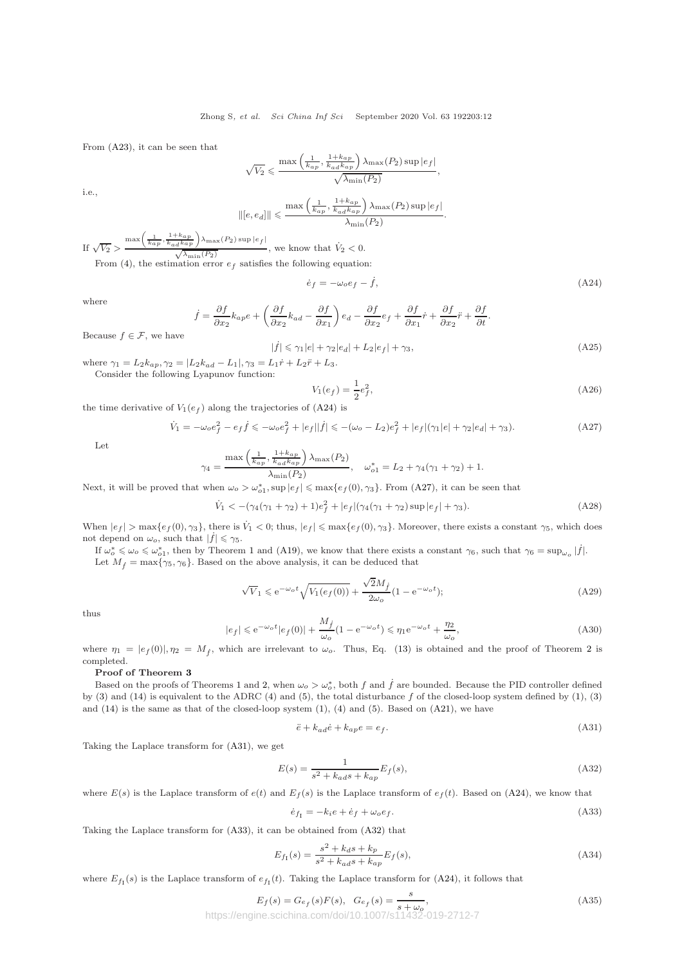From (A23), it can be seen that

$$
\sqrt{V_2} \leq \frac{\max\left(\frac{1}{k_{ap}}, \frac{1+k_{ap}}{k_{ad}k_{ap}}\right) \lambda_{\max}(P_2) \sup |e_f|}{\sqrt{\lambda_{\min}(P_2)}},
$$

i.e.,

$$
\| [e, e_d] \| \leqslant \frac{\max\left( \frac{1}{k_{ap}}, \frac{1+k_{ap}}{k_{ad}k_{ap}} \right) \lambda_{\max} (P_2) \sup |e_f|}{\lambda_{\min} (P_2)}.
$$

If  $\sqrt{V_2}$  >  $\max\left(\frac{1}{k_{ap}}, \frac{1+k_{ap}}{k_{ad}k_{ap}}\right)$  $\lambda_{\max}(P_2)$  sup  $|e_f|$  $\frac{d^k a p}{\sqrt{\lambda_{\min}(P_2)}}$ , we know that  $\dot{V}_2 < 0$ . From (4), the estimation error  $e_f$  satisfies the following equation:

$$
\dot{e}_f = -\omega_o e_f - \dot{f},\tag{A24}
$$

where

$$
\dot{f} = \frac{\partial f}{\partial x_2} k_{ap} e + \left(\frac{\partial f}{\partial x_2} k_{ad} - \frac{\partial f}{\partial x_1}\right) e_d - \frac{\partial f}{\partial x_2} e_f + \frac{\partial f}{\partial x_1} \dot{r} + \frac{\partial f}{\partial x_2} \ddot{r} + \frac{\partial f}{\partial t}.
$$

Because  $f \in \mathcal{F}$ , we have

$$
|\dot{f}| \le \gamma_1|e| + \gamma_2|e_d| + L_2|e_f| + \gamma_3,\tag{A25}
$$

where  $\gamma_1 = L_2 k_{ap}, \gamma_2 = |L_2 k_{ad} - L_1|, \gamma_3 = L_1 \dot{r} + L_2 \ddot{r} + L_3.$ Consider the following Lyapunov function:

$$
V_1(e_f) = \frac{1}{2}e_f^2,
$$
 (A26)

the time derivative of  $V_1(e_f)$  along the trajectories of (A24) is

$$
\dot{V}_1 = -\omega_0 e_f^2 - e_f \dot{f} \le -\omega_0 e_f^2 + |e_f||\dot{f}| \le -(\omega_0 - L_2)e_f^2 + |e_f|(\gamma_1|e| + \gamma_2|e_d| + \gamma_3). \tag{A27}
$$

Let

$$
\gamma_4 = \frac{\max\left(\frac{1}{k_{ap}}, \frac{1+k_{ap}}{k_{ad}k_{ap}}\right)\lambda_{\max}(P_2)}{\lambda_{\min}(P_2)}, \quad \omega_{o1}^* = L_2 + \gamma_4(\gamma_1 + \gamma_2) + 1.
$$

Next, it will be proved that when  $\omega_o > \omega_{o1}^*$ , sup  $|e_f| \leq \max\{e_f(0), \gamma_3\}$ . From (A27), it can be seen that

$$
\dot{V}_1 < -(\gamma_4(\gamma_1 + \gamma_2) + 1)e_f^2 + |e_f|(\gamma_4(\gamma_1 + \gamma_2)\sup|e_f| + \gamma_3).
$$
\n(A28)

When  $|e_f| > \max\{e_f(0), \gamma_3\}$ , there is  $V_1 < 0$ ; thus,  $|e_f| \leq \max\{e_f(0), \gamma_3\}$ . Moreover, there exists a constant  $\gamma_5$ , which does not depend on  $\omega_o$ , such that  $|f| \le \gamma_5$ .

If  $\omega_o^* \leq \omega_o \leq \omega_{o1}^*$ , then by Theorem 1 and (A19), we know that there exists a constant  $\gamma_6$ , such that  $\gamma_6 = \sup_{\omega_o} |\dot{f}|$ .

Let  $M_f = \max\{\gamma_5, \gamma_6\}$ . Based on the above analysis, it can be deduced that

$$
\sqrt{V}_1 \leqslant e^{-\omega_o t} \sqrt{V_1(e_f(0))} + \frac{\sqrt{2}M_f}{2\omega_o} (1 - e^{-\omega_o t});\tag{A29}
$$

thus

$$
|e_f| \leqslant e^{-\omega_o t} |e_f(0)| + \frac{M_f}{\omega_o} (1 - e^{-\omega_o t}) \leqslant \eta_1 e^{-\omega_o t} + \frac{\eta_2}{\omega_o},\tag{A30}
$$

where  $\eta_1 = |e_f(0)|, \eta_2 = M_f$ , which are irrelevant to  $\omega_o$ . Thus, Eq. (13) is obtained and the proof of Theorem 2 is completed.

Proof of Theorem 3

Based on the proofs of Theorems 1 and 2, when  $\omega_o > \omega_o^*$ , both f and f are bounded. Because the PID controller defined by (3) and (14) is equivalent to the ADRC (4) and (5), the total disturbance f of the closed-loop system defined by  $(1)$ ,  $(3)$ and (14) is the same as that of the closed-loop system (1), (4) and (5). Based on (A21), we have

$$
\ddot{e} + k_{ad}\dot{e} + k_{ap}e = e_f. \tag{A31}
$$

Taking the Laplace transform for (A31), we get

$$
E(s) = \frac{1}{s^2 + k_{ad}s + k_{ap}} E_f(s),
$$
\n(A32)

where  $E(s)$  is the Laplace transform of  $e(t)$  and  $E_f(s)$  is the Laplace transform of  $e_f(t)$ . Based on (A24), we know that

$$
\dot{e}_{f_1} = -k_i e + \dot{e}_f + \omega_o e_f. \tag{A33}
$$

Taking the Laplace transform for (A33), it can be obtained from (A32) that

$$
E_{f_1}(s) = \frac{s^2 + k_d s + k_p}{s^2 + k_{ad}s + k_{ap}} E_f(s),
$$
\n(A34)

where  $E_{f_1}(s)$  is the Laplace transform of  $e_{f_1}(t)$ . Taking the Laplace transform for (A24), it follows that

$$
E_f(s) = G_{e_f}(s)F(s), \quad G_{e_f}(s) = \frac{s}{s + \omega_o},\tag{A35}
$$